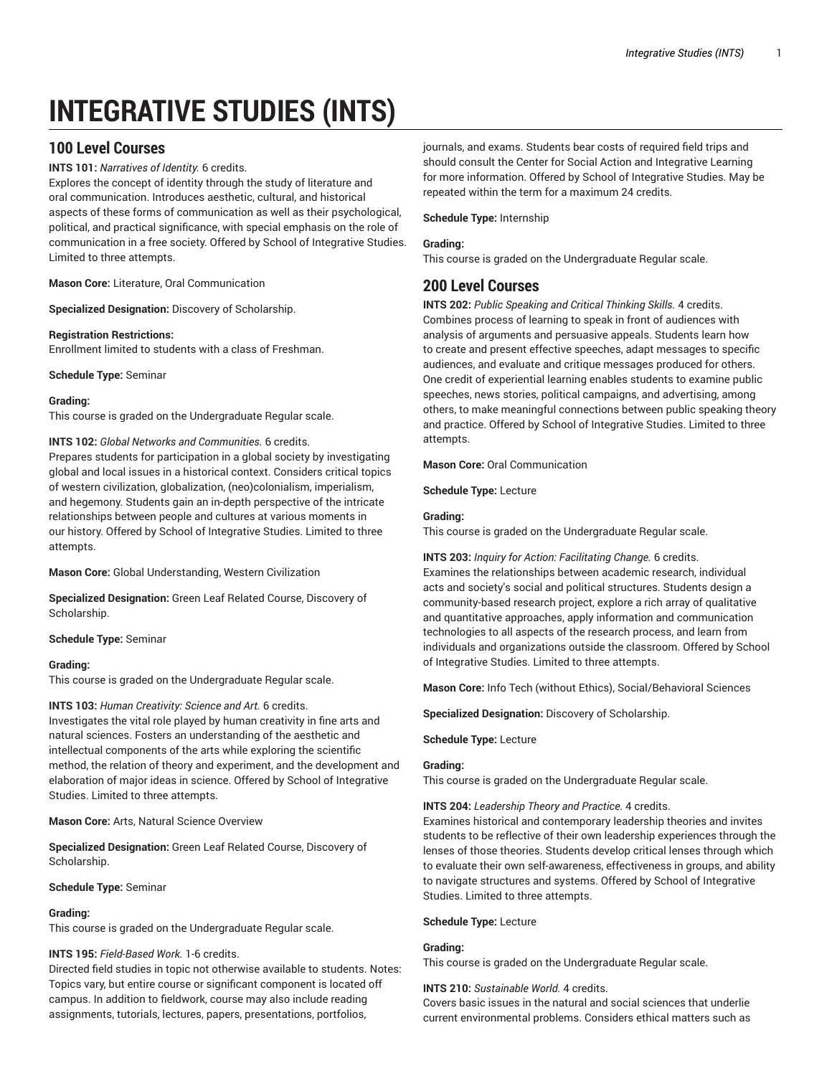# **INTEGRATIVE STUDIES (INTS)**

# **100 Level Courses**

## **INTS 101:** *Narratives of Identity.* 6 credits.

Explores the concept of identity through the study of literature and oral communication. Introduces aesthetic, cultural, and historical aspects of these forms of communication as well as their psychological, political, and practical significance, with special emphasis on the role of communication in a free society. Offered by School of Integrative Studies. Limited to three attempts.

**Mason Core:** Literature, Oral Communication

**Specialized Designation:** Discovery of Scholarship.

## **Registration Restrictions:**

Enrollment limited to students with a class of Freshman.

**Schedule Type:** Seminar

## **Grading:**

This course is graded on the Undergraduate Regular scale.

## **INTS 102:** *Global Networks and Communities.* 6 credits.

Prepares students for participation in a global society by investigating global and local issues in a historical context. Considers critical topics of western civilization, globalization, (neo)colonialism, imperialism, and hegemony. Students gain an in-depth perspective of the intricate relationships between people and cultures at various moments in our history. Offered by School of Integrative Studies. Limited to three attempts.

**Mason Core:** Global Understanding, Western Civilization

**Specialized Designation:** Green Leaf Related Course, Discovery of Scholarship.

**Schedule Type:** Seminar

## **Grading:**

This course is graded on the Undergraduate Regular scale.

## **INTS 103:** *Human Creativity: Science and Art.* 6 credits.

Investigates the vital role played by human creativity in fine arts and natural sciences. Fosters an understanding of the aesthetic and intellectual components of the arts while exploring the scientific method, the relation of theory and experiment, and the development and elaboration of major ideas in science. Offered by School of Integrative Studies. Limited to three attempts.

**Mason Core:** Arts, Natural Science Overview

**Specialized Designation:** Green Leaf Related Course, Discovery of Scholarship.

**Schedule Type:** Seminar

## **Grading:**

This course is graded on the Undergraduate Regular scale.

## **INTS 195:** *Field-Based Work.* 1-6 credits.

Directed field studies in topic not otherwise available to students. Notes: Topics vary, but entire course or significant component is located off campus. In addition to fieldwork, course may also include reading assignments, tutorials, lectures, papers, presentations, portfolios,

journals, and exams. Students bear costs of required field trips and should consult the Center for Social Action and Integrative Learning for more information. Offered by School of Integrative Studies. May be repeated within the term for a maximum 24 credits.

## **Schedule Type:** Internship

## **Grading:**

This course is graded on the Undergraduate Regular scale.

# **200 Level Courses**

**INTS 202:** *Public Speaking and Critical Thinking Skills.* 4 credits. Combines process of learning to speak in front of audiences with analysis of arguments and persuasive appeals. Students learn how to create and present effective speeches, adapt messages to specific audiences, and evaluate and critique messages produced for others. One credit of experiential learning enables students to examine public speeches, news stories, political campaigns, and advertising, among others, to make meaningful connections between public speaking theory and practice. Offered by School of Integrative Studies. Limited to three attempts.

**Mason Core:** Oral Communication

**Schedule Type:** Lecture

## **Grading:**

This course is graded on the Undergraduate Regular scale.

**INTS 203:** *Inquiry for Action: Facilitating Change.* 6 credits. Examines the relationships between academic research, individual acts and society's social and political structures. Students design a community-based research project, explore a rich array of qualitative and quantitative approaches, apply information and communication technologies to all aspects of the research process, and learn from individuals and organizations outside the classroom. Offered by School of Integrative Studies. Limited to three attempts.

**Mason Core:** Info Tech (without Ethics), Social/Behavioral Sciences

**Specialized Designation:** Discovery of Scholarship.

### **Schedule Type:** Lecture

### **Grading:**

This course is graded on the Undergraduate Regular scale.

### **INTS 204:** *Leadership Theory and Practice.* 4 credits.

Examines historical and contemporary leadership theories and invites students to be reflective of their own leadership experiences through the lenses of those theories. Students develop critical lenses through which to evaluate their own self-awareness, effectiveness in groups, and ability to navigate structures and systems. Offered by School of Integrative Studies. Limited to three attempts.

### **Schedule Type:** Lecture

### **Grading:**

This course is graded on the Undergraduate Regular scale.

### **INTS 210:** *Sustainable World.* 4 credits.

Covers basic issues in the natural and social sciences that underlie current environmental problems. Considers ethical matters such as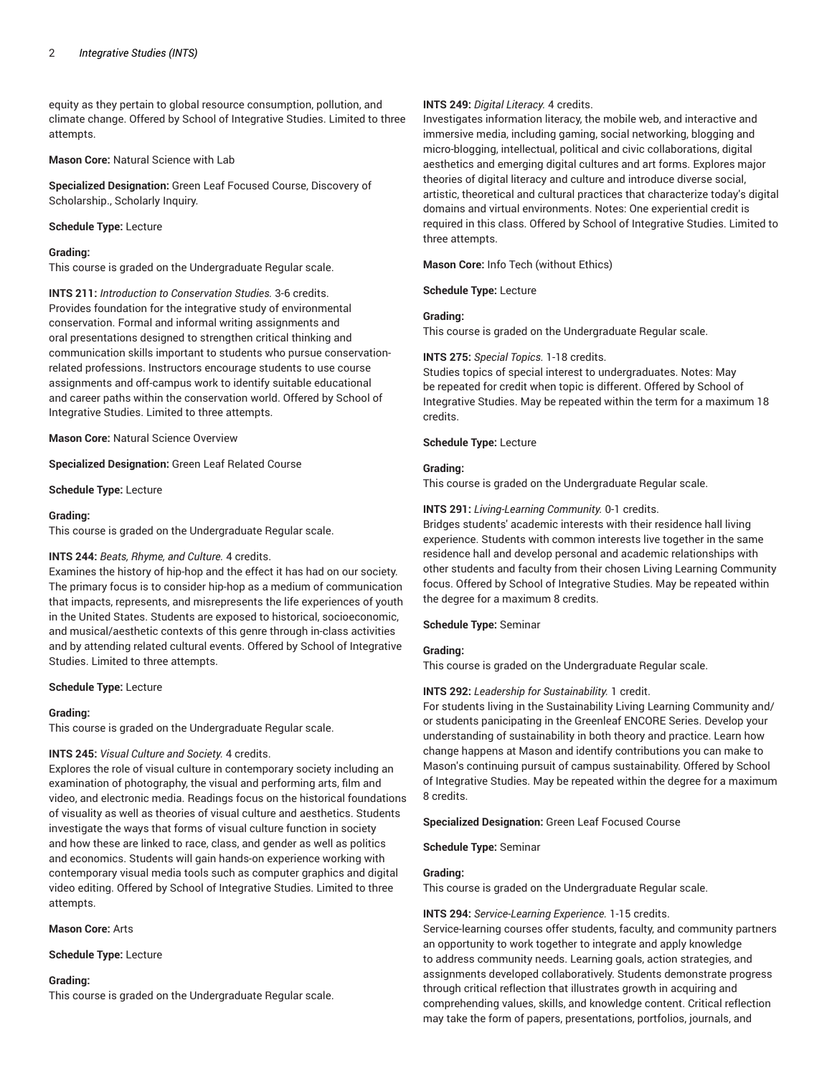equity as they pertain to global resource consumption, pollution, and climate change. Offered by School of Integrative Studies. Limited to three attempts.

**Mason Core:** Natural Science with Lab

**Specialized Designation:** Green Leaf Focused Course, Discovery of Scholarship., Scholarly Inquiry.

#### **Schedule Type:** Lecture

#### **Grading:**

This course is graded on the Undergraduate Regular scale.

**INTS 211:** *Introduction to Conservation Studies.* 3-6 credits. Provides foundation for the integrative study of environmental conservation. Formal and informal writing assignments and oral presentations designed to strengthen critical thinking and communication skills important to students who pursue conservationrelated professions. Instructors encourage students to use course assignments and off-campus work to identify suitable educational and career paths within the conservation world. Offered by School of Integrative Studies. Limited to three attempts.

**Mason Core:** Natural Science Overview

**Specialized Designation:** Green Leaf Related Course

**Schedule Type:** Lecture

#### **Grading:**

This course is graded on the Undergraduate Regular scale.

#### **INTS 244:** *Beats, Rhyme, and Culture.* 4 credits.

Examines the history of hip-hop and the effect it has had on our society. The primary focus is to consider hip-hop as a medium of communication that impacts, represents, and misrepresents the life experiences of youth in the United States. Students are exposed to historical, socioeconomic, and musical/aesthetic contexts of this genre through in-class activities and by attending related cultural events. Offered by School of Integrative Studies. Limited to three attempts.

**Schedule Type:** Lecture

#### **Grading:**

This course is graded on the Undergraduate Regular scale.

### **INTS 245:** *Visual Culture and Society.* 4 credits.

Explores the role of visual culture in contemporary society including an examination of photography, the visual and performing arts, film and video, and electronic media. Readings focus on the historical foundations of visuality as well as theories of visual culture and aesthetics. Students investigate the ways that forms of visual culture function in society and how these are linked to race, class, and gender as well as politics and economics. Students will gain hands-on experience working with contemporary visual media tools such as computer graphics and digital video editing. Offered by School of Integrative Studies. Limited to three attempts.

#### **Mason Core:** Arts

**Schedule Type:** Lecture

#### **Grading:**

This course is graded on the Undergraduate Regular scale.

#### **INTS 249:** *Digital Literacy.* 4 credits.

Investigates information literacy, the mobile web, and interactive and immersive media, including gaming, social networking, blogging and micro-blogging, intellectual, political and civic collaborations, digital aesthetics and emerging digital cultures and art forms. Explores major theories of digital literacy and culture and introduce diverse social, artistic, theoretical and cultural practices that characterize today's digital domains and virtual environments. Notes: One experiential credit is required in this class. Offered by School of Integrative Studies. Limited to three attempts.

**Mason Core:** Info Tech (without Ethics)

**Schedule Type:** Lecture

## **Grading:**

This course is graded on the Undergraduate Regular scale.

### **INTS 275:** *Special Topics.* 1-18 credits.

Studies topics of special interest to undergraduates. Notes: May be repeated for credit when topic is different. Offered by School of Integrative Studies. May be repeated within the term for a maximum 18 credits.

#### **Schedule Type:** Lecture

## **Grading:**

This course is graded on the Undergraduate Regular scale.

#### **INTS 291:** *Living-Learning Community.* 0-1 credits.

Bridges students' academic interests with their residence hall living experience. Students with common interests live together in the same residence hall and develop personal and academic relationships with other students and faculty from their chosen Living Learning Community focus. Offered by School of Integrative Studies. May be repeated within the degree for a maximum 8 credits.

### **Schedule Type:** Seminar

## **Grading:**

This course is graded on the Undergraduate Regular scale.

### **INTS 292:** *Leadership for Sustainability.* 1 credit.

For students living in the Sustainability Living Learning Community and/ or students panicipating in the Greenleaf ENCORE Series. Develop your understanding of sustainability in both theory and practice. Learn how change happens at Mason and identify contributions you can make to Mason's continuing pursuit of campus sustainability. Offered by School of Integrative Studies. May be repeated within the degree for a maximum 8 credits.

**Specialized Designation:** Green Leaf Focused Course

**Schedule Type:** Seminar

#### **Grading:**

This course is graded on the Undergraduate Regular scale.

#### **INTS 294:** *Service-Learning Experience.* 1-15 credits.

Service-learning courses offer students, faculty, and community partners an opportunity to work together to integrate and apply knowledge to address community needs. Learning goals, action strategies, and assignments developed collaboratively. Students demonstrate progress through critical reflection that illustrates growth in acquiring and comprehending values, skills, and knowledge content. Critical reflection may take the form of papers, presentations, portfolios, journals, and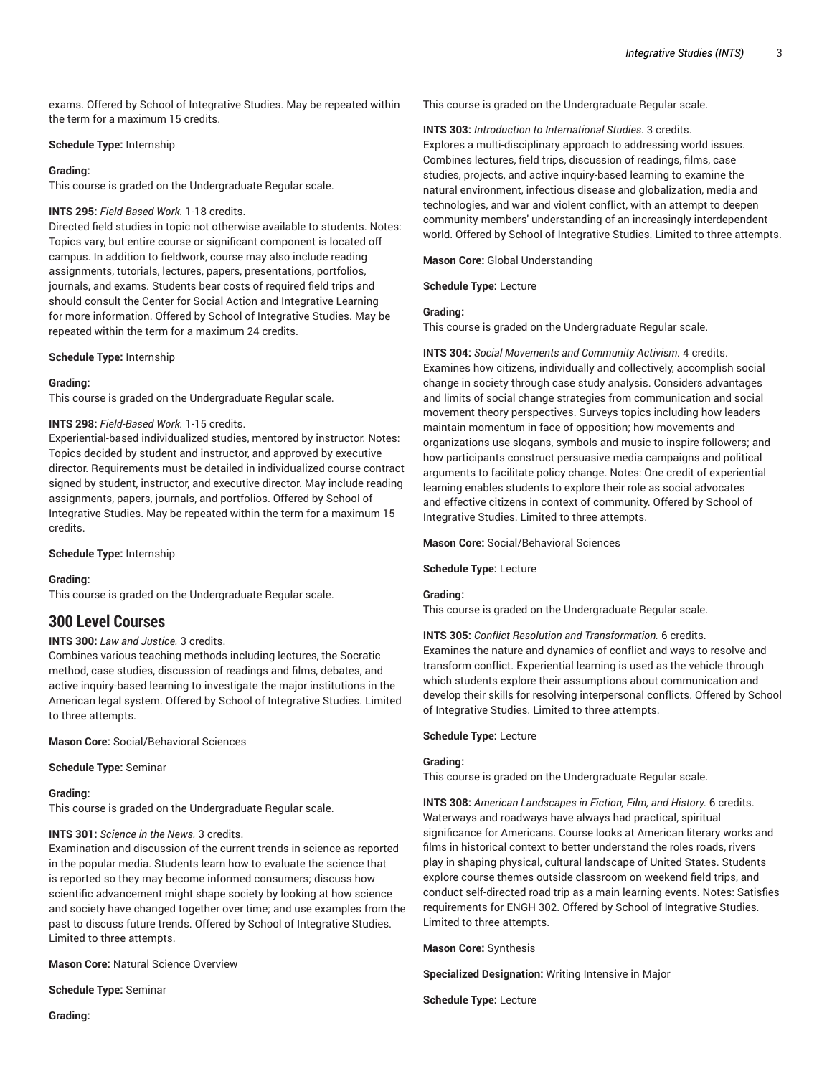exams. Offered by School of Integrative Studies. May be repeated within the term for a maximum 15 credits.

### **Schedule Type:** Internship

#### **Grading:**

This course is graded on the Undergraduate Regular scale.

## **INTS 295:** *Field-Based Work.* 1-18 credits.

Directed field studies in topic not otherwise available to students. Notes: Topics vary, but entire course or significant component is located off campus. In addition to fieldwork, course may also include reading assignments, tutorials, lectures, papers, presentations, portfolios, journals, and exams. Students bear costs of required field trips and should consult the Center for Social Action and Integrative Learning for more information. Offered by School of Integrative Studies. May be repeated within the term for a maximum 24 credits.

#### **Schedule Type:** Internship

#### **Grading:**

This course is graded on the Undergraduate Regular scale.

## **INTS 298:** *Field-Based Work.* 1-15 credits.

Experiential-based individualized studies, mentored by instructor. Notes: Topics decided by student and instructor, and approved by executive director. Requirements must be detailed in individualized course contract signed by student, instructor, and executive director. May include reading assignments, papers, journals, and portfolios. Offered by School of Integrative Studies. May be repeated within the term for a maximum 15 credits.

**Schedule Type:** Internship

#### **Grading:**

This course is graded on the Undergraduate Regular scale.

# **300 Level Courses**

## **INTS 300:** *Law and Justice.* 3 credits.

Combines various teaching methods including lectures, the Socratic method, case studies, discussion of readings and films, debates, and active inquiry-based learning to investigate the major institutions in the American legal system. Offered by School of Integrative Studies. Limited to three attempts.

**Mason Core:** Social/Behavioral Sciences

#### **Schedule Type:** Seminar

## **Grading:**

This course is graded on the Undergraduate Regular scale.

## **INTS 301:** *Science in the News.* 3 credits.

Examination and discussion of the current trends in science as reported in the popular media. Students learn how to evaluate the science that is reported so they may become informed consumers; discuss how scientific advancement might shape society by looking at how science and society have changed together over time; and use examples from the past to discuss future trends. Offered by School of Integrative Studies. Limited to three attempts.

**Mason Core:** Natural Science Overview

**Schedule Type:** Seminar

**Grading:**

This course is graded on the Undergraduate Regular scale.

**INTS 303:** *Introduction to International Studies.* 3 credits. Explores a multi-disciplinary approach to addressing world issues. Combines lectures, field trips, discussion of readings, films, case studies, projects, and active inquiry-based learning to examine the natural environment, infectious disease and globalization, media and technologies, and war and violent conflict, with an attempt to deepen community members' understanding of an increasingly interdependent world. Offered by School of Integrative Studies. Limited to three attempts.

**Mason Core:** Global Understanding

**Schedule Type:** Lecture

## **Grading:**

This course is graded on the Undergraduate Regular scale.

**INTS 304:** *Social Movements and Community Activism.* 4 credits. Examines how citizens, individually and collectively, accomplish social change in society through case study analysis. Considers advantages and limits of social change strategies from communication and social movement theory perspectives. Surveys topics including how leaders maintain momentum in face of opposition; how movements and organizations use slogans, symbols and music to inspire followers; and how participants construct persuasive media campaigns and political arguments to facilitate policy change. Notes: One credit of experiential learning enables students to explore their role as social advocates and effective citizens in context of community. Offered by School of Integrative Studies. Limited to three attempts.

**Mason Core:** Social/Behavioral Sciences

**Schedule Type:** Lecture

#### **Grading:**

This course is graded on the Undergraduate Regular scale.

**INTS 305:** *Conflict Resolution and Transformation.* 6 credits. Examines the nature and dynamics of conflict and ways to resolve and transform conflict. Experiential learning is used as the vehicle through which students explore their assumptions about communication and develop their skills for resolving interpersonal conflicts. Offered by School of Integrative Studies. Limited to three attempts.

**Schedule Type:** Lecture

#### **Grading:**

This course is graded on the Undergraduate Regular scale.

**INTS 308:** *American Landscapes in Fiction, Film, and History.* 6 credits. Waterways and roadways have always had practical, spiritual significance for Americans. Course looks at American literary works and films in historical context to better understand the roles roads, rivers play in shaping physical, cultural landscape of United States. Students explore course themes outside classroom on weekend field trips, and conduct self-directed road trip as a main learning events. Notes: Satisfies requirements for ENGH 302. Offered by School of Integrative Studies. Limited to three attempts.

**Mason Core:** Synthesis

**Specialized Designation:** Writing Intensive in Major

**Schedule Type:** Lecture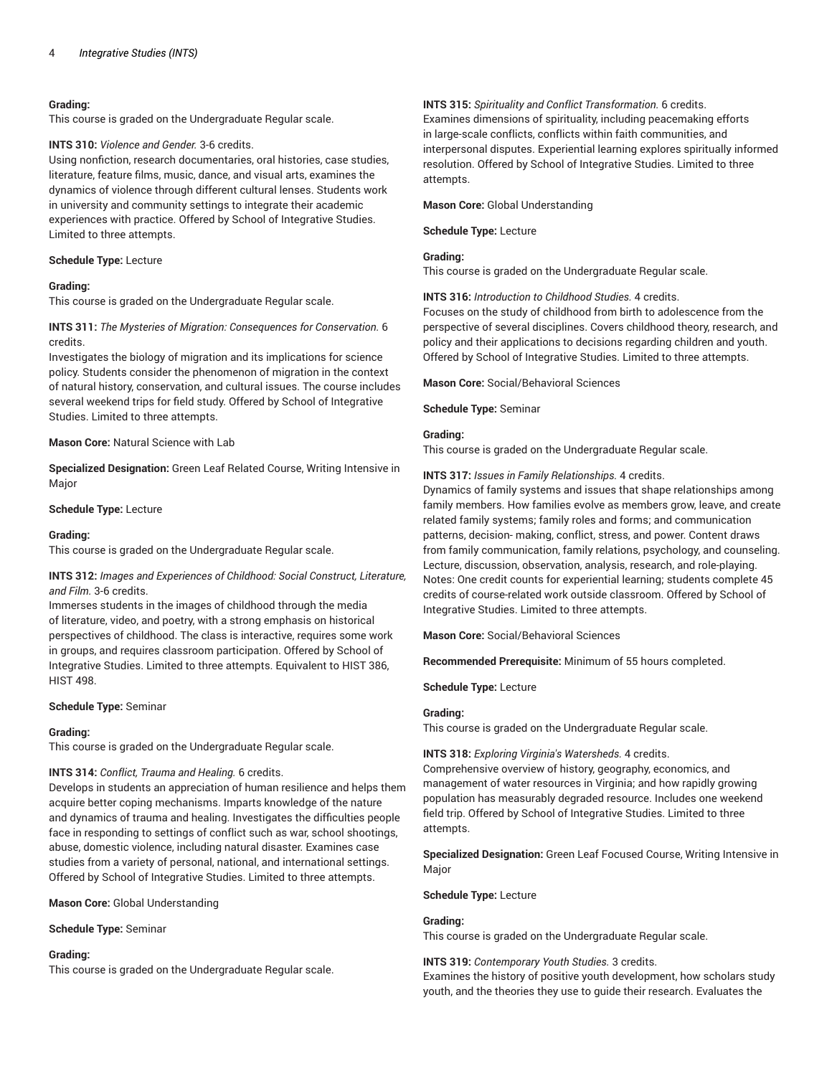#### **Grading:**

This course is graded on the Undergraduate Regular scale.

#### **INTS 310:** *Violence and Gender.* 3-6 credits.

Using nonfiction, research documentaries, oral histories, case studies, literature, feature films, music, dance, and visual arts, examines the dynamics of violence through different cultural lenses. Students work in university and community settings to integrate their academic experiences with practice. Offered by School of Integrative Studies. Limited to three attempts.

#### **Schedule Type:** Lecture

#### **Grading:**

This course is graded on the Undergraduate Regular scale.

## **INTS 311:** *The Mysteries of Migration: Consequences for Conservation.* 6 credits.

Investigates the biology of migration and its implications for science policy. Students consider the phenomenon of migration in the context of natural history, conservation, and cultural issues. The course includes several weekend trips for field study. Offered by School of Integrative Studies. Limited to three attempts.

## **Mason Core:** Natural Science with Lab

**Specialized Designation:** Green Leaf Related Course, Writing Intensive in Major

#### **Schedule Type:** Lecture

#### **Grading:**

This course is graded on the Undergraduate Regular scale.

## **INTS 312:** *Images and Experiences of Childhood: Social Construct, Literature, and Film.* 3-6 credits.

Immerses students in the images of childhood through the media of literature, video, and poetry, with a strong emphasis on historical perspectives of childhood. The class is interactive, requires some work in groups, and requires classroom participation. Offered by School of Integrative Studies. Limited to three attempts. Equivalent to HIST 386, HIST 498.

#### **Schedule Type:** Seminar

#### **Grading:**

This course is graded on the Undergraduate Regular scale.

#### **INTS 314:** *Conflict, Trauma and Healing.* 6 credits.

Develops in students an appreciation of human resilience and helps them acquire better coping mechanisms. Imparts knowledge of the nature and dynamics of trauma and healing. Investigates the difficulties people face in responding to settings of conflict such as war, school shootings, abuse, domestic violence, including natural disaster. Examines case studies from a variety of personal, national, and international settings. Offered by School of Integrative Studies. Limited to three attempts.

#### **Mason Core:** Global Understanding

**Schedule Type:** Seminar

#### **Grading:**

This course is graded on the Undergraduate Regular scale.

#### **INTS 315:** *Spirituality and Conflict Transformation.* 6 credits.

Examines dimensions of spirituality, including peacemaking efforts in large-scale conflicts, conflicts within faith communities, and interpersonal disputes. Experiential learning explores spiritually informed resolution. Offered by School of Integrative Studies. Limited to three attempts.

**Mason Core:** Global Understanding

**Schedule Type:** Lecture

#### **Grading:**

This course is graded on the Undergraduate Regular scale.

**INTS 316:** *Introduction to Childhood Studies.* 4 credits.

Focuses on the study of childhood from birth to adolescence from the perspective of several disciplines. Covers childhood theory, research, and policy and their applications to decisions regarding children and youth. Offered by School of Integrative Studies. Limited to three attempts.

**Mason Core:** Social/Behavioral Sciences

**Schedule Type:** Seminar

### **Grading:**

This course is graded on the Undergraduate Regular scale.

#### **INTS 317:** *Issues in Family Relationships.* 4 credits.

Dynamics of family systems and issues that shape relationships among family members. How families evolve as members grow, leave, and create related family systems; family roles and forms; and communication patterns, decision- making, conflict, stress, and power. Content draws from family communication, family relations, psychology, and counseling. Lecture, discussion, observation, analysis, research, and role-playing. Notes: One credit counts for experiential learning; students complete 45 credits of course-related work outside classroom. Offered by School of Integrative Studies. Limited to three attempts.

**Mason Core:** Social/Behavioral Sciences

**Recommended Prerequisite:** Minimum of 55 hours completed.

**Schedule Type:** Lecture

#### **Grading:**

This course is graded on the Undergraduate Regular scale.

#### **INTS 318:** *Exploring Virginia's Watersheds.* 4 credits.

Comprehensive overview of history, geography, economics, and management of water resources in Virginia; and how rapidly growing population has measurably degraded resource. Includes one weekend field trip. Offered by School of Integrative Studies. Limited to three attempts.

**Specialized Designation:** Green Leaf Focused Course, Writing Intensive in Major

**Schedule Type:** Lecture

#### **Grading:**

This course is graded on the Undergraduate Regular scale.

**INTS 319:** *Contemporary Youth Studies.* 3 credits. Examines the history of positive youth development, how scholars study youth, and the theories they use to guide their research. Evaluates the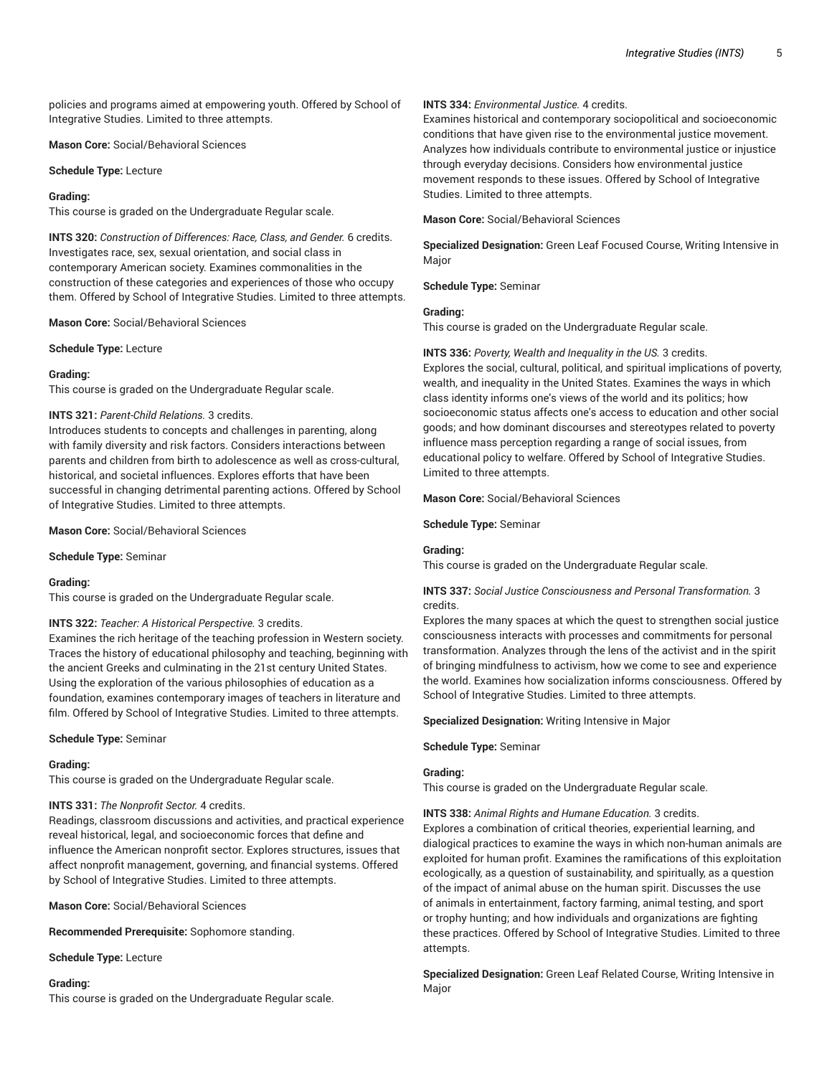policies and programs aimed at empowering youth. Offered by School of Integrative Studies. Limited to three attempts.

**Mason Core:** Social/Behavioral Sciences

**Schedule Type:** Lecture

#### **Grading:**

This course is graded on the Undergraduate Regular scale.

**INTS 320:** *Construction of Differences: Race, Class, and Gender.* 6 credits. Investigates race, sex, sexual orientation, and social class in contemporary American society. Examines commonalities in the construction of these categories and experiences of those who occupy them. Offered by School of Integrative Studies. Limited to three attempts.

**Mason Core:** Social/Behavioral Sciences

**Schedule Type:** Lecture

### **Grading:**

This course is graded on the Undergraduate Regular scale.

### **INTS 321:** *Parent-Child Relations.* 3 credits.

Introduces students to concepts and challenges in parenting, along with family diversity and risk factors. Considers interactions between parents and children from birth to adolescence as well as cross-cultural, historical, and societal influences. Explores efforts that have been successful in changing detrimental parenting actions. Offered by School of Integrative Studies. Limited to three attempts.

**Mason Core:** Social/Behavioral Sciences

**Schedule Type:** Seminar

#### **Grading:**

This course is graded on the Undergraduate Regular scale.

#### **INTS 322:** *Teacher: A Historical Perspective.* 3 credits.

Examines the rich heritage of the teaching profession in Western society. Traces the history of educational philosophy and teaching, beginning with the ancient Greeks and culminating in the 21st century United States. Using the exploration of the various philosophies of education as a foundation, examines contemporary images of teachers in literature and film. Offered by School of Integrative Studies. Limited to three attempts.

**Schedule Type:** Seminar

#### **Grading:**

This course is graded on the Undergraduate Regular scale.

### **INTS 331:** *The Nonprofit Sector.* 4 credits.

Readings, classroom discussions and activities, and practical experience reveal historical, legal, and socioeconomic forces that define and influence the American nonprofit sector. Explores structures, issues that affect nonprofit management, governing, and financial systems. Offered by School of Integrative Studies. Limited to three attempts.

**Mason Core:** Social/Behavioral Sciences

**Recommended Prerequisite:** Sophomore standing.

**Schedule Type:** Lecture

#### **Grading:**

This course is graded on the Undergraduate Regular scale.

## **INTS 334:** *Environmental Justice.* 4 credits.

Examines historical and contemporary sociopolitical and socioeconomic conditions that have given rise to the environmental justice movement. Analyzes how individuals contribute to environmental justice or injustice through everyday decisions. Considers how environmental justice movement responds to these issues. Offered by School of Integrative Studies. Limited to three attempts.

**Mason Core:** Social/Behavioral Sciences

**Specialized Designation:** Green Leaf Focused Course, Writing Intensive in Major

**Schedule Type:** Seminar

## **Grading:**

This course is graded on the Undergraduate Regular scale.

#### **INTS 336:** *Poverty, Wealth and Inequality in the US.* 3 credits.

Explores the social, cultural, political, and spiritual implications of poverty, wealth, and inequality in the United States. Examines the ways in which class identity informs one's views of the world and its politics; how socioeconomic status affects one's access to education and other social goods; and how dominant discourses and stereotypes related to poverty influence mass perception regarding a range of social issues, from educational policy to welfare. Offered by School of Integrative Studies. Limited to three attempts.

**Mason Core:** Social/Behavioral Sciences

**Schedule Type:** Seminar

### **Grading:**

This course is graded on the Undergraduate Regular scale.

## **INTS 337:** *Social Justice Consciousness and Personal Transformation.* 3 credits.

Explores the many spaces at which the quest to strengthen social justice consciousness interacts with processes and commitments for personal transformation. Analyzes through the lens of the activist and in the spirit of bringing mindfulness to activism, how we come to see and experience the world. Examines how socialization informs consciousness. Offered by School of Integrative Studies. Limited to three attempts.

#### **Specialized Designation:** Writing Intensive in Major

**Schedule Type:** Seminar

#### **Grading:**

This course is graded on the Undergraduate Regular scale.

**INTS 338:** *Animal Rights and Humane Education.* 3 credits.

Explores a combination of critical theories, experiential learning, and dialogical practices to examine the ways in which non-human animals are exploited for human profit. Examines the ramifications of this exploitation ecologically, as a question of sustainability, and spiritually, as a question of the impact of animal abuse on the human spirit. Discusses the use of animals in entertainment, factory farming, animal testing, and sport or trophy hunting; and how individuals and organizations are fighting these practices. Offered by School of Integrative Studies. Limited to three attempts.

**Specialized Designation:** Green Leaf Related Course, Writing Intensive in Major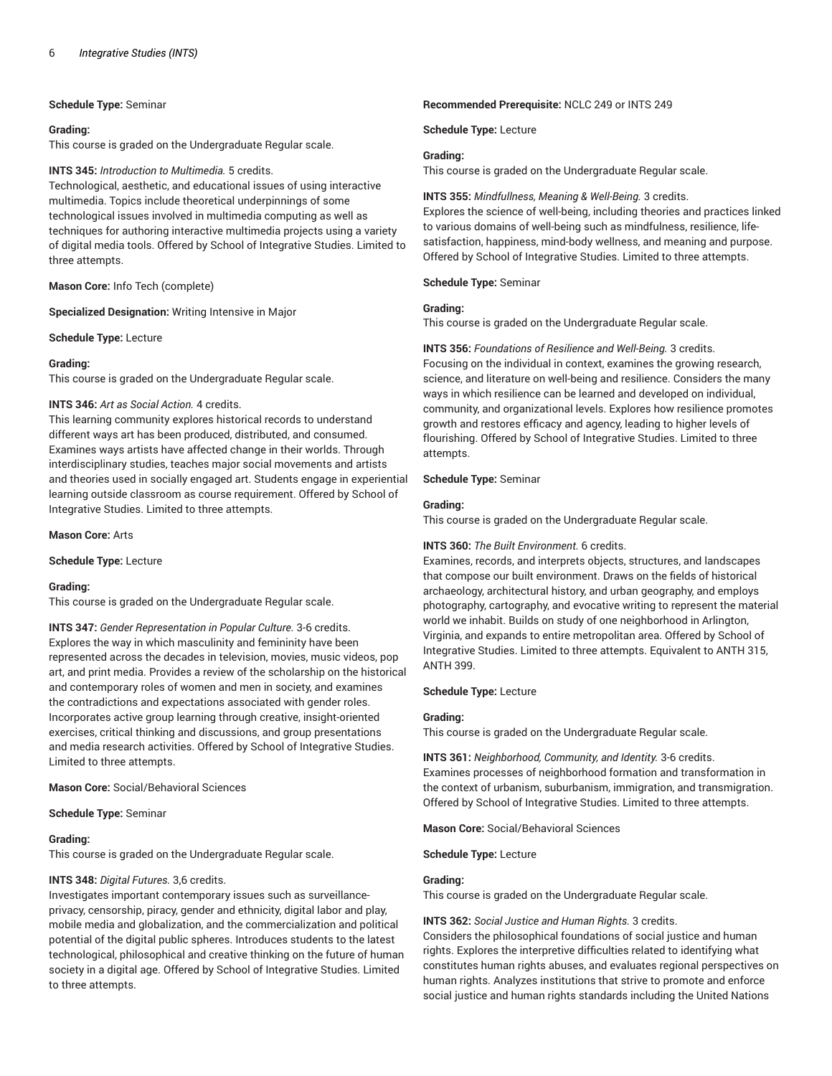### **Schedule Type:** Seminar

#### **Grading:**

This course is graded on the Undergraduate Regular scale.

#### **INTS 345:** *Introduction to Multimedia.* 5 credits.

Technological, aesthetic, and educational issues of using interactive multimedia. Topics include theoretical underpinnings of some technological issues involved in multimedia computing as well as techniques for authoring interactive multimedia projects using a variety of digital media tools. Offered by School of Integrative Studies. Limited to three attempts.

### **Mason Core:** Info Tech (complete)

**Specialized Designation:** Writing Intensive in Major

**Schedule Type:** Lecture

### **Grading:**

This course is graded on the Undergraduate Regular scale.

### **INTS 346:** *Art as Social Action.* 4 credits.

This learning community explores historical records to understand different ways art has been produced, distributed, and consumed. Examines ways artists have affected change in their worlds. Through interdisciplinary studies, teaches major social movements and artists and theories used in socially engaged art. Students engage in experiential learning outside classroom as course requirement. Offered by School of Integrative Studies. Limited to three attempts.

**Mason Core:** Arts

#### **Schedule Type:** Lecture

#### **Grading:**

This course is graded on the Undergraduate Regular scale.

**INTS 347:** *Gender Representation in Popular Culture.* 3-6 credits. Explores the way in which masculinity and femininity have been represented across the decades in television, movies, music videos, pop art, and print media. Provides a review of the scholarship on the historical and contemporary roles of women and men in society, and examines the contradictions and expectations associated with gender roles. Incorporates active group learning through creative, insight-oriented exercises, critical thinking and discussions, and group presentations and media research activities. Offered by School of Integrative Studies. Limited to three attempts.

**Mason Core:** Social/Behavioral Sciences

**Schedule Type:** Seminar

### **Grading:**

This course is graded on the Undergraduate Regular scale.

### **INTS 348:** *Digital Futures.* 3,6 credits.

Investigates important contemporary issues such as surveillanceprivacy, censorship, piracy, gender and ethnicity, digital labor and play, mobile media and globalization, and the commercialization and political potential of the digital public spheres. Introduces students to the latest technological, philosophical and creative thinking on the future of human society in a digital age. Offered by School of Integrative Studies. Limited to three attempts.

#### **Recommended Prerequisite:** NCLC 249 or INTS 249

**Schedule Type:** Lecture

#### **Grading:**

This course is graded on the Undergraduate Regular scale.

#### **INTS 355:** *Mindfullness, Meaning & Well-Being.* 3 credits.

Explores the science of well-being, including theories and practices linked to various domains of well-being such as mindfulness, resilience, lifesatisfaction, happiness, mind-body wellness, and meaning and purpose. Offered by School of Integrative Studies. Limited to three attempts.

**Schedule Type:** Seminar

#### **Grading:**

This course is graded on the Undergraduate Regular scale.

#### **INTS 356:** *Foundations of Resilience and Well-Being.* 3 credits.

Focusing on the individual in context, examines the growing research, science, and literature on well-being and resilience. Considers the many ways in which resilience can be learned and developed on individual, community, and organizational levels. Explores how resilience promotes growth and restores efficacy and agency, leading to higher levels of flourishing. Offered by School of Integrative Studies. Limited to three attempts.

#### **Schedule Type:** Seminar

#### **Grading:**

This course is graded on the Undergraduate Regular scale.

## **INTS 360:** *The Built Environment.* 6 credits.

Examines, records, and interprets objects, structures, and landscapes that compose our built environment. Draws on the fields of historical archaeology, architectural history, and urban geography, and employs photography, cartography, and evocative writing to represent the material world we inhabit. Builds on study of one neighborhood in Arlington, Virginia, and expands to entire metropolitan area. Offered by School of Integrative Studies. Limited to three attempts. Equivalent to ANTH 315, ANTH 399.

#### **Schedule Type:** Lecture

### **Grading:**

This course is graded on the Undergraduate Regular scale.

**INTS 361:** *Neighborhood, Community, and Identity.* 3-6 credits. Examines processes of neighborhood formation and transformation in the context of urbanism, suburbanism, immigration, and transmigration. Offered by School of Integrative Studies. Limited to three attempts.

**Mason Core:** Social/Behavioral Sciences

**Schedule Type:** Lecture

### **Grading:**

This course is graded on the Undergraduate Regular scale.

### **INTS 362:** *Social Justice and Human Rights.* 3 credits.

Considers the philosophical foundations of social justice and human rights. Explores the interpretive difficulties related to identifying what constitutes human rights abuses, and evaluates regional perspectives on human rights. Analyzes institutions that strive to promote and enforce social justice and human rights standards including the United Nations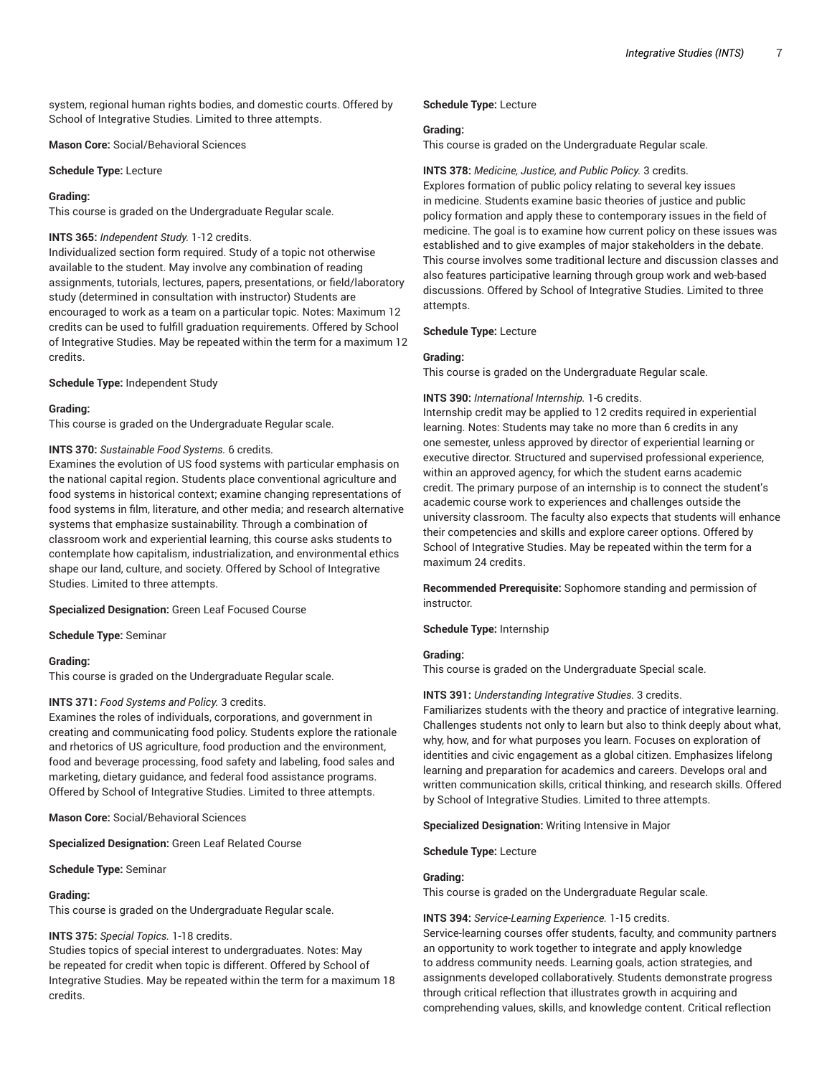system, regional human rights bodies, and domestic courts. Offered by School of Integrative Studies. Limited to three attempts.

**Mason Core:** Social/Behavioral Sciences

#### **Schedule Type:** Lecture

#### **Grading:**

This course is graded on the Undergraduate Regular scale.

## **INTS 365:** *Independent Study.* 1-12 credits.

Individualized section form required. Study of a topic not otherwise available to the student. May involve any combination of reading assignments, tutorials, lectures, papers, presentations, or field/laboratory study (determined in consultation with instructor) Students are encouraged to work as a team on a particular topic. Notes: Maximum 12 credits can be used to fulfill graduation requirements. Offered by School of Integrative Studies. May be repeated within the term for a maximum 12 credits.

#### **Schedule Type:** Independent Study

#### **Grading:**

This course is graded on the Undergraduate Regular scale.

### **INTS 370:** *Sustainable Food Systems.* 6 credits.

Examines the evolution of US food systems with particular emphasis on the national capital region. Students place conventional agriculture and food systems in historical context; examine changing representations of food systems in film, literature, and other media; and research alternative systems that emphasize sustainability. Through a combination of classroom work and experiential learning, this course asks students to contemplate how capitalism, industrialization, and environmental ethics shape our land, culture, and society. Offered by School of Integrative Studies. Limited to three attempts.

### **Specialized Designation:** Green Leaf Focused Course

**Schedule Type:** Seminar

#### **Grading:**

This course is graded on the Undergraduate Regular scale.

#### **INTS 371:** *Food Systems and Policy.* 3 credits.

Examines the roles of individuals, corporations, and government in creating and communicating food policy. Students explore the rationale and rhetorics of US agriculture, food production and the environment, food and beverage processing, food safety and labeling, food sales and marketing, dietary guidance, and federal food assistance programs. Offered by School of Integrative Studies. Limited to three attempts.

**Mason Core:** Social/Behavioral Sciences

**Specialized Designation:** Green Leaf Related Course

**Schedule Type:** Seminar

#### **Grading:**

This course is graded on the Undergraduate Regular scale.

### **INTS 375:** *Special Topics.* 1-18 credits.

Studies topics of special interest to undergraduates. Notes: May be repeated for credit when topic is different. Offered by School of Integrative Studies. May be repeated within the term for a maximum 18 credits.

**Schedule Type:** Lecture

#### **Grading:**

This course is graded on the Undergraduate Regular scale.

#### **INTS 378:** *Medicine, Justice, and Public Policy.* 3 credits.

Explores formation of public policy relating to several key issues in medicine. Students examine basic theories of justice and public policy formation and apply these to contemporary issues in the field of medicine. The goal is to examine how current policy on these issues was established and to give examples of major stakeholders in the debate. This course involves some traditional lecture and discussion classes and also features participative learning through group work and web-based discussions. Offered by School of Integrative Studies. Limited to three attempts.

**Schedule Type:** Lecture

#### **Grading:**

This course is graded on the Undergraduate Regular scale.

#### **INTS 390:** *International Internship.* 1-6 credits.

Internship credit may be applied to 12 credits required in experiential learning. Notes: Students may take no more than 6 credits in any one semester, unless approved by director of experiential learning or executive director. Structured and supervised professional experience, within an approved agency, for which the student earns academic credit. The primary purpose of an internship is to connect the student's academic course work to experiences and challenges outside the university classroom. The faculty also expects that students will enhance their competencies and skills and explore career options. Offered by School of Integrative Studies. May be repeated within the term for a maximum 24 credits.

**Recommended Prerequisite:** Sophomore standing and permission of instructor.

**Schedule Type:** Internship

#### **Grading:**

This course is graded on the Undergraduate Special scale.

### **INTS 391:** *Understanding Integrative Studies.* 3 credits.

Familiarizes students with the theory and practice of integrative learning. Challenges students not only to learn but also to think deeply about what, why, how, and for what purposes you learn. Focuses on exploration of identities and civic engagement as a global citizen. Emphasizes lifelong learning and preparation for academics and careers. Develops oral and written communication skills, critical thinking, and research skills. Offered by School of Integrative Studies. Limited to three attempts.

**Specialized Designation:** Writing Intensive in Major

## **Schedule Type:** Lecture

#### **Grading:**

This course is graded on the Undergraduate Regular scale.

#### **INTS 394:** *Service-Learning Experience.* 1-15 credits.

Service-learning courses offer students, faculty, and community partners an opportunity to work together to integrate and apply knowledge to address community needs. Learning goals, action strategies, and assignments developed collaboratively. Students demonstrate progress through critical reflection that illustrates growth in acquiring and comprehending values, skills, and knowledge content. Critical reflection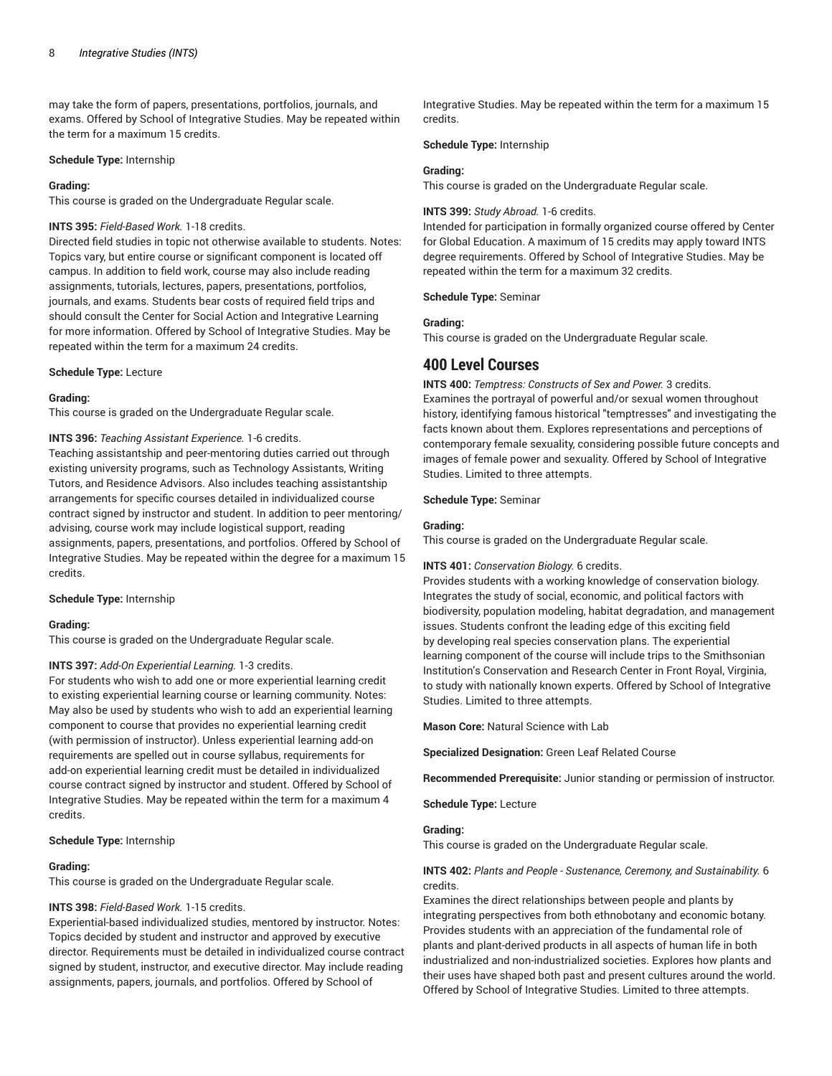may take the form of papers, presentations, portfolios, journals, and exams. Offered by School of Integrative Studies. May be repeated within the term for a maximum 15 credits.

#### **Schedule Type:** Internship

#### **Grading:**

This course is graded on the Undergraduate Regular scale.

#### **INTS 395:** *Field-Based Work.* 1-18 credits.

Directed field studies in topic not otherwise available to students. Notes: Topics vary, but entire course or significant component is located off campus. In addition to field work, course may also include reading assignments, tutorials, lectures, papers, presentations, portfolios, journals, and exams. Students bear costs of required field trips and should consult the Center for Social Action and Integrative Learning for more information. Offered by School of Integrative Studies. May be repeated within the term for a maximum 24 credits.

#### **Schedule Type:** Lecture

#### **Grading:**

This course is graded on the Undergraduate Regular scale.

#### **INTS 396:** *Teaching Assistant Experience.* 1-6 credits.

Teaching assistantship and peer-mentoring duties carried out through existing university programs, such as Technology Assistants, Writing Tutors, and Residence Advisors. Also includes teaching assistantship arrangements for specific courses detailed in individualized course contract signed by instructor and student. In addition to peer mentoring/ advising, course work may include logistical support, reading assignments, papers, presentations, and portfolios. Offered by School of Integrative Studies. May be repeated within the degree for a maximum 15 credits.

#### **Schedule Type:** Internship

### **Grading:**

This course is graded on the Undergraduate Regular scale.

## **INTS 397:** *Add-On Experiential Learning.* 1-3 credits.

For students who wish to add one or more experiential learning credit to existing experiential learning course or learning community. Notes: May also be used by students who wish to add an experiential learning component to course that provides no experiential learning credit (with permission of instructor). Unless experiential learning add-on requirements are spelled out in course syllabus, requirements for add-on experiential learning credit must be detailed in individualized course contract signed by instructor and student. Offered by School of Integrative Studies. May be repeated within the term for a maximum 4 credits.

### **Schedule Type:** Internship

#### **Grading:**

This course is graded on the Undergraduate Regular scale.

### **INTS 398:** *Field-Based Work.* 1-15 credits.

Experiential-based individualized studies, mentored by instructor. Notes: Topics decided by student and instructor and approved by executive director. Requirements must be detailed in individualized course contract signed by student, instructor, and executive director. May include reading assignments, papers, journals, and portfolios. Offered by School of

Integrative Studies. May be repeated within the term for a maximum 15 credits.

#### **Schedule Type:** Internship

#### **Grading:**

This course is graded on the Undergraduate Regular scale.

## **INTS 399:** *Study Abroad.* 1-6 credits.

Intended for participation in formally organized course offered by Center for Global Education. A maximum of 15 credits may apply toward INTS degree requirements. Offered by School of Integrative Studies. May be repeated within the term for a maximum 32 credits.

## **Schedule Type:** Seminar

## **Grading:**

This course is graded on the Undergraduate Regular scale.

# **400 Level Courses**

**INTS 400:** *Temptress: Constructs of Sex and Power.* 3 credits. Examines the portrayal of powerful and/or sexual women throughout history, identifying famous historical "temptresses" and investigating the facts known about them. Explores representations and perceptions of contemporary female sexuality, considering possible future concepts and images of female power and sexuality. Offered by School of Integrative Studies. Limited to three attempts.

## **Schedule Type:** Seminar

#### **Grading:**

This course is graded on the Undergraduate Regular scale.

## **INTS 401:** *Conservation Biology.* 6 credits.

Provides students with a working knowledge of conservation biology. Integrates the study of social, economic, and political factors with biodiversity, population modeling, habitat degradation, and management issues. Students confront the leading edge of this exciting field by developing real species conservation plans. The experiential learning component of the course will include trips to the Smithsonian Institution's Conservation and Research Center in Front Royal, Virginia, to study with nationally known experts. Offered by School of Integrative Studies. Limited to three attempts.

**Mason Core:** Natural Science with Lab

**Specialized Designation:** Green Leaf Related Course

**Recommended Prerequisite:** Junior standing or permission of instructor.

**Schedule Type:** Lecture

## **Grading:**

This course is graded on the Undergraduate Regular scale.

### **INTS 402:** *Plants and People - Sustenance, Ceremony, and Sustainability.* 6 credits.

Examines the direct relationships between people and plants by integrating perspectives from both ethnobotany and economic botany. Provides students with an appreciation of the fundamental role of plants and plant-derived products in all aspects of human life in both industrialized and non-industrialized societies. Explores how plants and their uses have shaped both past and present cultures around the world. Offered by School of Integrative Studies. Limited to three attempts.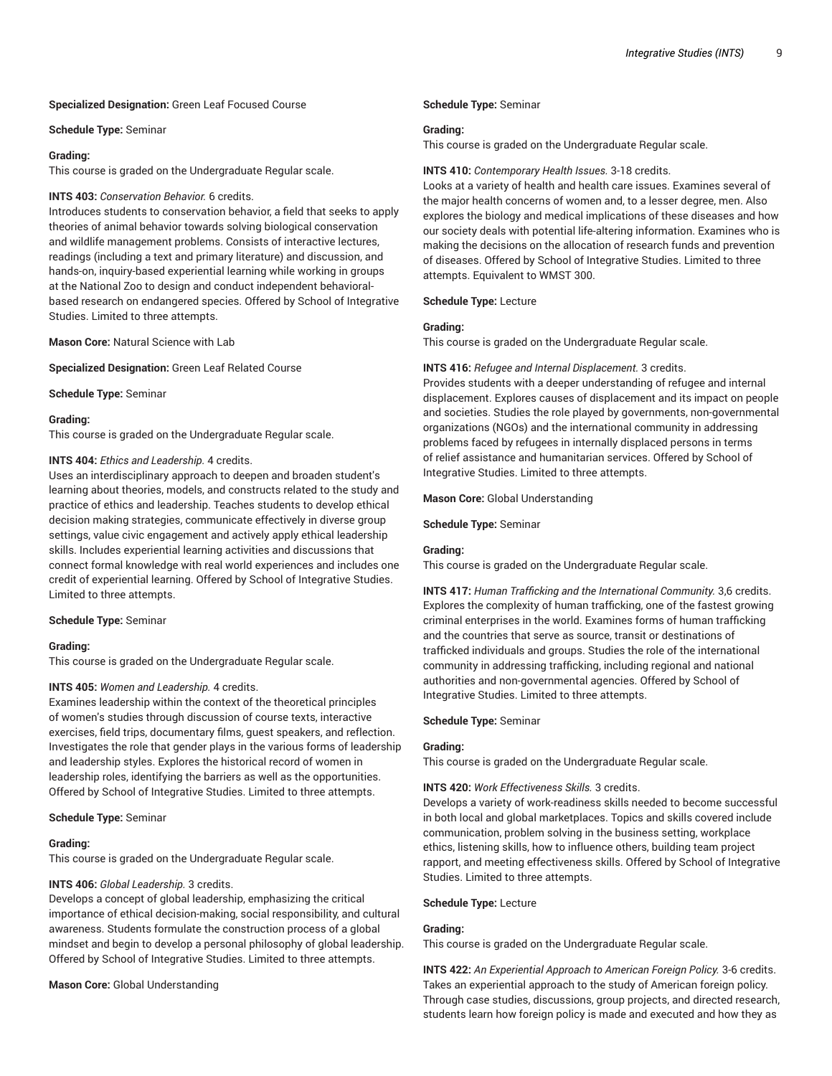#### **Specialized Designation:** Green Leaf Focused Course

#### **Schedule Type:** Seminar

#### **Grading:**

This course is graded on the Undergraduate Regular scale.

#### **INTS 403:** *Conservation Behavior.* 6 credits.

Introduces students to conservation behavior, a field that seeks to apply theories of animal behavior towards solving biological conservation and wildlife management problems. Consists of interactive lectures, readings (including a text and primary literature) and discussion, and hands-on, inquiry-based experiential learning while working in groups at the National Zoo to design and conduct independent behavioralbased research on endangered species. Offered by School of Integrative Studies. Limited to three attempts.

**Mason Core:** Natural Science with Lab

**Specialized Designation:** Green Leaf Related Course

**Schedule Type:** Seminar

#### **Grading:**

This course is graded on the Undergraduate Regular scale.

#### **INTS 404:** *Ethics and Leadership.* 4 credits.

Uses an interdisciplinary approach to deepen and broaden student's learning about theories, models, and constructs related to the study and practice of ethics and leadership. Teaches students to develop ethical decision making strategies, communicate effectively in diverse group settings, value civic engagement and actively apply ethical leadership skills. Includes experiential learning activities and discussions that connect formal knowledge with real world experiences and includes one credit of experiential learning. Offered by School of Integrative Studies. Limited to three attempts.

#### **Schedule Type:** Seminar

### **Grading:**

This course is graded on the Undergraduate Regular scale.

### **INTS 405:** *Women and Leadership.* 4 credits.

Examines leadership within the context of the theoretical principles of women's studies through discussion of course texts, interactive exercises, field trips, documentary films, guest speakers, and reflection. Investigates the role that gender plays in the various forms of leadership and leadership styles. Explores the historical record of women in leadership roles, identifying the barriers as well as the opportunities. Offered by School of Integrative Studies. Limited to three attempts.

#### **Schedule Type:** Seminar

## **Grading:**

This course is graded on the Undergraduate Regular scale.

## **INTS 406:** *Global Leadership.* 3 credits.

Develops a concept of global leadership, emphasizing the critical importance of ethical decision-making, social responsibility, and cultural awareness. Students formulate the construction process of a global mindset and begin to develop a personal philosophy of global leadership. Offered by School of Integrative Studies. Limited to three attempts.

# **Mason Core:** Global Understanding

#### **Schedule Type:** Seminar

#### **Grading:**

This course is graded on the Undergraduate Regular scale.

#### **INTS 410:** *Contemporary Health Issues.* 3-18 credits.

Looks at a variety of health and health care issues. Examines several of the major health concerns of women and, to a lesser degree, men. Also explores the biology and medical implications of these diseases and how our society deals with potential life-altering information. Examines who is making the decisions on the allocation of research funds and prevention of diseases. Offered by School of Integrative Studies. Limited to three attempts. Equivalent to WMST 300.

#### **Schedule Type:** Lecture

## **Grading:**

This course is graded on the Undergraduate Regular scale.

#### **INTS 416:** *Refugee and Internal Displacement.* 3 credits.

Provides students with a deeper understanding of refugee and internal displacement. Explores causes of displacement and its impact on people and societies. Studies the role played by governments, non-governmental organizations (NGOs) and the international community in addressing problems faced by refugees in internally displaced persons in terms of relief assistance and humanitarian services. Offered by School of Integrative Studies. Limited to three attempts.

#### **Mason Core:** Global Understanding

**Schedule Type:** Seminar

### **Grading:**

This course is graded on the Undergraduate Regular scale.

**INTS 417:** *Human Trafficking and the International Community.* 3,6 credits. Explores the complexity of human trafficking, one of the fastest growing criminal enterprises in the world. Examines forms of human trafficking and the countries that serve as source, transit or destinations of trafficked individuals and groups. Studies the role of the international community in addressing trafficking, including regional and national authorities and non-governmental agencies. Offered by School of Integrative Studies. Limited to three attempts.

#### **Schedule Type:** Seminar

## **Grading:**

This course is graded on the Undergraduate Regular scale.

#### **INTS 420:** *Work Effectiveness Skills.* 3 credits.

Develops a variety of work-readiness skills needed to become successful in both local and global marketplaces. Topics and skills covered include communication, problem solving in the business setting, workplace ethics, listening skills, how to influence others, building team project rapport, and meeting effectiveness skills. Offered by School of Integrative Studies. Limited to three attempts.

#### **Schedule Type:** Lecture

#### **Grading:**

This course is graded on the Undergraduate Regular scale.

**INTS 422:** *An Experiential Approach to American Foreign Policy.* 3-6 credits. Takes an experiential approach to the study of American foreign policy. Through case studies, discussions, group projects, and directed research, students learn how foreign policy is made and executed and how they as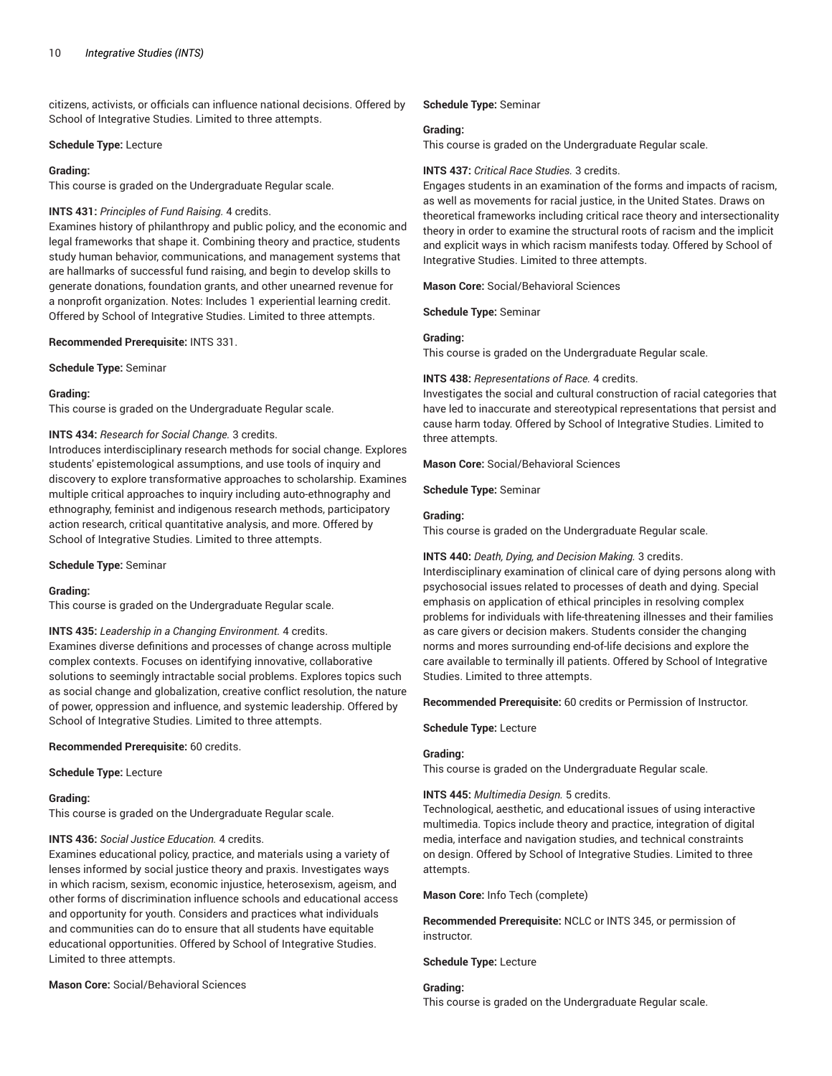citizens, activists, or officials can influence national decisions. Offered by School of Integrative Studies. Limited to three attempts.

#### **Schedule Type:** Lecture

#### **Grading:**

This course is graded on the Undergraduate Regular scale.

### **INTS 431:** *Principles of Fund Raising.* 4 credits.

Examines history of philanthropy and public policy, and the economic and legal frameworks that shape it. Combining theory and practice, students study human behavior, communications, and management systems that are hallmarks of successful fund raising, and begin to develop skills to generate donations, foundation grants, and other unearned revenue for a nonprofit organization. Notes: Includes 1 experiential learning credit. Offered by School of Integrative Studies. Limited to three attempts.

#### **Recommended Prerequisite:** INTS 331.

**Schedule Type:** Seminar

#### **Grading:**

This course is graded on the Undergraduate Regular scale.

### **INTS 434:** *Research for Social Change.* 3 credits.

Introduces interdisciplinary research methods for social change. Explores students' epistemological assumptions, and use tools of inquiry and discovery to explore transformative approaches to scholarship. Examines multiple critical approaches to inquiry including auto-ethnography and ethnography, feminist and indigenous research methods, participatory action research, critical quantitative analysis, and more. Offered by School of Integrative Studies. Limited to three attempts.

**Schedule Type:** Seminar

#### **Grading:**

This course is graded on the Undergraduate Regular scale.

**INTS 435:** *Leadership in a Changing Environment.* 4 credits. Examines diverse definitions and processes of change across multiple complex contexts. Focuses on identifying innovative, collaborative solutions to seemingly intractable social problems. Explores topics such as social change and globalization, creative conflict resolution, the nature of power, oppression and influence, and systemic leadership. Offered by School of Integrative Studies. Limited to three attempts.

#### **Recommended Prerequisite:** 60 credits.

**Schedule Type:** Lecture

#### **Grading:**

This course is graded on the Undergraduate Regular scale.

#### **INTS 436:** *Social Justice Education.* 4 credits.

Examines educational policy, practice, and materials using a variety of lenses informed by social justice theory and praxis. Investigates ways in which racism, sexism, economic injustice, heterosexism, ageism, and other forms of discrimination influence schools and educational access and opportunity for youth. Considers and practices what individuals and communities can do to ensure that all students have equitable educational opportunities. Offered by School of Integrative Studies. Limited to three attempts.

## **Mason Core:** Social/Behavioral Sciences

**Schedule Type:** Seminar

#### **Grading:**

This course is graded on the Undergraduate Regular scale.

#### **INTS 437:** *Critical Race Studies.* 3 credits.

Engages students in an examination of the forms and impacts of racism, as well as movements for racial justice, in the United States. Draws on theoretical frameworks including critical race theory and intersectionality theory in order to examine the structural roots of racism and the implicit and explicit ways in which racism manifests today. Offered by School of Integrative Studies. Limited to three attempts.

**Mason Core:** Social/Behavioral Sciences

**Schedule Type:** Seminar

#### **Grading:**

This course is graded on the Undergraduate Regular scale.

#### **INTS 438:** *Representations of Race.* 4 credits.

Investigates the social and cultural construction of racial categories that have led to inaccurate and stereotypical representations that persist and cause harm today. Offered by School of Integrative Studies. Limited to three attempts.

**Mason Core:** Social/Behavioral Sciences

**Schedule Type:** Seminar

#### **Grading:**

This course is graded on the Undergraduate Regular scale.

**INTS 440:** *Death, Dying, and Decision Making.* 3 credits.

Interdisciplinary examination of clinical care of dying persons along with psychosocial issues related to processes of death and dying. Special emphasis on application of ethical principles in resolving complex problems for individuals with life-threatening illnesses and their families as care givers or decision makers. Students consider the changing norms and mores surrounding end-of-life decisions and explore the care available to terminally ill patients. Offered by School of Integrative Studies. Limited to three attempts.

**Recommended Prerequisite:** 60 credits or Permission of Instructor.

#### **Schedule Type:** Lecture

#### **Grading:**

This course is graded on the Undergraduate Regular scale.

### **INTS 445:** *Multimedia Design.* 5 credits.

Technological, aesthetic, and educational issues of using interactive multimedia. Topics include theory and practice, integration of digital media, interface and navigation studies, and technical constraints on design. Offered by School of Integrative Studies. Limited to three attempts.

**Mason Core:** Info Tech (complete)

**Recommended Prerequisite:** NCLC or INTS 345, or permission of instructor.

**Schedule Type:** Lecture

## **Grading:**

This course is graded on the Undergraduate Regular scale.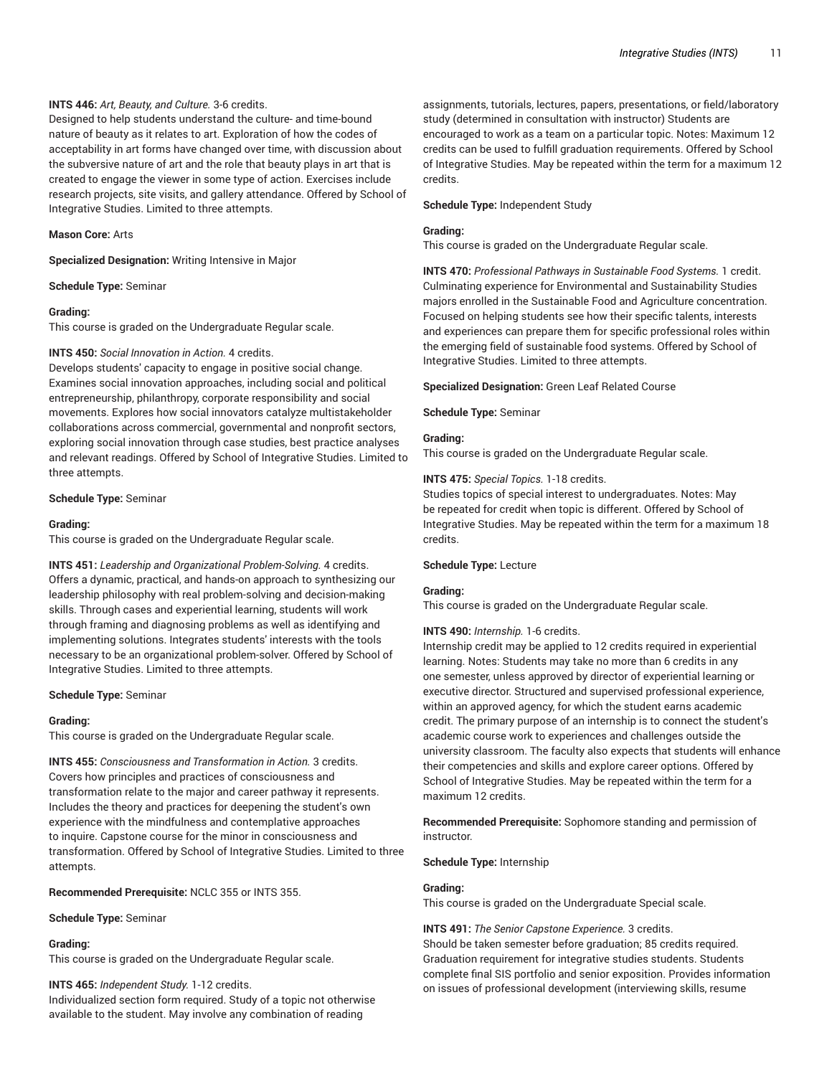#### **INTS 446:** *Art, Beauty, and Culture.* 3-6 credits.

Designed to help students understand the culture- and time-bound nature of beauty as it relates to art. Exploration of how the codes of acceptability in art forms have changed over time, with discussion about the subversive nature of art and the role that beauty plays in art that is created to engage the viewer in some type of action. Exercises include research projects, site visits, and gallery attendance. Offered by School of Integrative Studies. Limited to three attempts.

#### **Mason Core:** Arts

**Specialized Designation:** Writing Intensive in Major

**Schedule Type:** Seminar

#### **Grading:**

This course is graded on the Undergraduate Regular scale.

#### **INTS 450:** *Social Innovation in Action.* 4 credits.

Develops students' capacity to engage in positive social change. Examines social innovation approaches, including social and political entrepreneurship, philanthropy, corporate responsibility and social movements. Explores how social innovators catalyze multistakeholder collaborations across commercial, governmental and nonprofit sectors, exploring social innovation through case studies, best practice analyses and relevant readings. Offered by School of Integrative Studies. Limited to three attempts.

## **Schedule Type:** Seminar

#### **Grading:**

This course is graded on the Undergraduate Regular scale.

**INTS 451:** *Leadership and Organizational Problem-Solving.* 4 credits. Offers a dynamic, practical, and hands-on approach to synthesizing our leadership philosophy with real problem-solving and decision-making skills. Through cases and experiential learning, students will work through framing and diagnosing problems as well as identifying and implementing solutions. Integrates students' interests with the tools necessary to be an organizational problem-solver. Offered by School of Integrative Studies. Limited to three attempts.

#### **Schedule Type:** Seminar

#### **Grading:**

This course is graded on the Undergraduate Regular scale.

**INTS 455:** *Consciousness and Transformation in Action.* 3 credits. Covers how principles and practices of consciousness and transformation relate to the major and career pathway it represents. Includes the theory and practices for deepening the student's own experience with the mindfulness and contemplative approaches to inquire. Capstone course for the minor in consciousness and transformation. Offered by School of Integrative Studies. Limited to three attempts.

**Recommended Prerequisite:** NCLC 355 or INTS 355.

**Schedule Type:** Seminar

#### **Grading:**

This course is graded on the Undergraduate Regular scale.

**INTS 465:** *Independent Study.* 1-12 credits. Individualized section form required. Study of a topic not otherwise available to the student. May involve any combination of reading

assignments, tutorials, lectures, papers, presentations, or field/laboratory study (determined in consultation with instructor) Students are encouraged to work as a team on a particular topic. Notes: Maximum 12 credits can be used to fulfill graduation requirements. Offered by School of Integrative Studies. May be repeated within the term for a maximum 12 credits.

#### **Schedule Type:** Independent Study

#### **Grading:**

This course is graded on the Undergraduate Regular scale.

**INTS 470:** *Professional Pathways in Sustainable Food Systems.* 1 credit. Culminating experience for Environmental and Sustainability Studies majors enrolled in the Sustainable Food and Agriculture concentration. Focused on helping students see how their specific talents, interests and experiences can prepare them for specific professional roles within the emerging field of sustainable food systems. Offered by School of Integrative Studies. Limited to three attempts.

**Specialized Designation:** Green Leaf Related Course

#### **Schedule Type:** Seminar

#### **Grading:**

This course is graded on the Undergraduate Regular scale.

#### **INTS 475:** *Special Topics.* 1-18 credits.

Studies topics of special interest to undergraduates. Notes: May be repeated for credit when topic is different. Offered by School of Integrative Studies. May be repeated within the term for a maximum 18 credits.

#### **Schedule Type:** Lecture

#### **Grading:**

This course is graded on the Undergraduate Regular scale.

### **INTS 490:** *Internship.* 1-6 credits.

Internship credit may be applied to 12 credits required in experiential learning. Notes: Students may take no more than 6 credits in any one semester, unless approved by director of experiential learning or executive director. Structured and supervised professional experience, within an approved agency, for which the student earns academic credit. The primary purpose of an internship is to connect the student's academic course work to experiences and challenges outside the university classroom. The faculty also expects that students will enhance their competencies and skills and explore career options. Offered by School of Integrative Studies. May be repeated within the term for a maximum 12 credits.

**Recommended Prerequisite:** Sophomore standing and permission of instructor.

**Schedule Type:** Internship

#### **Grading:**

This course is graded on the Undergraduate Special scale.

**INTS 491:** *The Senior Capstone Experience.* 3 credits. Should be taken semester before graduation; 85 credits required. Graduation requirement for integrative studies students. Students complete final SIS portfolio and senior exposition. Provides information on issues of professional development (interviewing skills, resume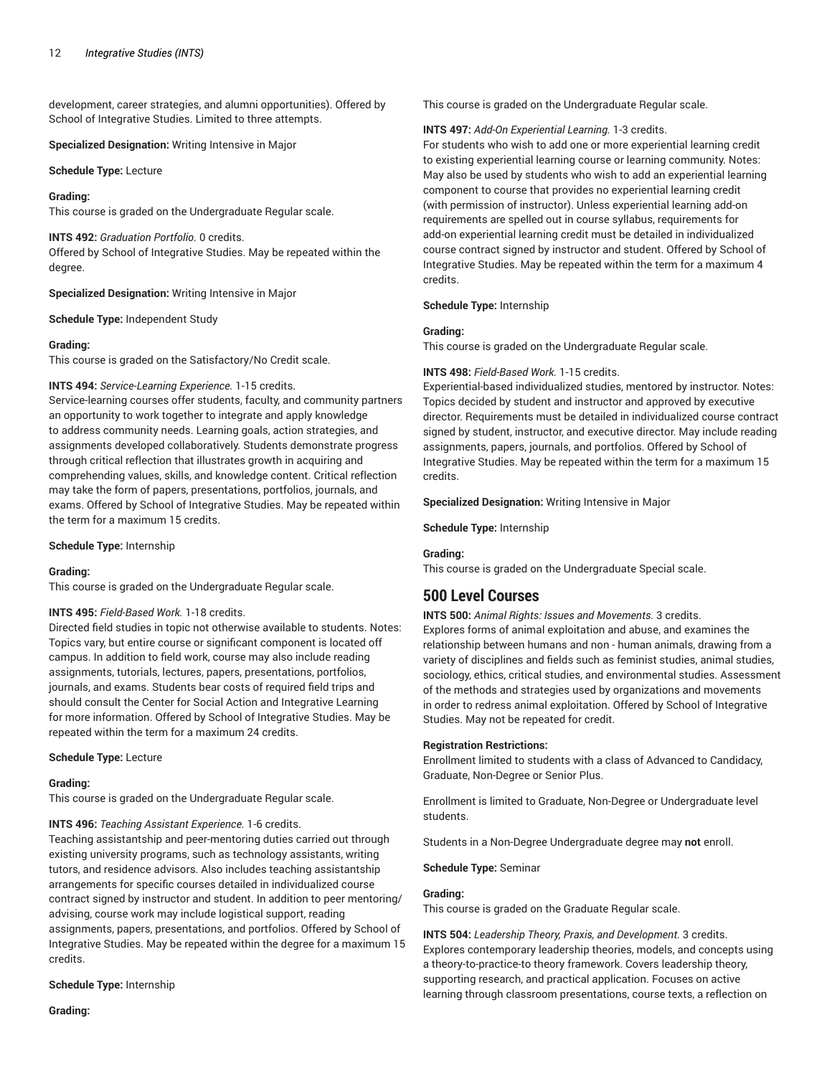development, career strategies, and alumni opportunities). Offered by School of Integrative Studies. Limited to three attempts.

**Specialized Designation:** Writing Intensive in Major

**Schedule Type:** Lecture

## **Grading:**

This course is graded on the Undergraduate Regular scale.

**INTS 492:** *Graduation Portfolio.* 0 credits. Offered by School of Integrative Studies. May be repeated within the degree.

**Specialized Designation:** Writing Intensive in Major

**Schedule Type:** Independent Study

## **Grading:**

This course is graded on the Satisfactory/No Credit scale.

## **INTS 494:** *Service-Learning Experience.* 1-15 credits.

Service-learning courses offer students, faculty, and community partners an opportunity to work together to integrate and apply knowledge to address community needs. Learning goals, action strategies, and assignments developed collaboratively. Students demonstrate progress through critical reflection that illustrates growth in acquiring and comprehending values, skills, and knowledge content. Critical reflection may take the form of papers, presentations, portfolios, journals, and exams. Offered by School of Integrative Studies. May be repeated within the term for a maximum 15 credits.

### **Schedule Type:** Internship

### **Grading:**

This course is graded on the Undergraduate Regular scale.

### **INTS 495:** *Field-Based Work.* 1-18 credits.

Directed field studies in topic not otherwise available to students. Notes: Topics vary, but entire course or significant component is located off campus. In addition to field work, course may also include reading assignments, tutorials, lectures, papers, presentations, portfolios, journals, and exams. Students bear costs of required field trips and should consult the Center for Social Action and Integrative Learning for more information. Offered by School of Integrative Studies. May be repeated within the term for a maximum 24 credits.

### **Schedule Type:** Lecture

### **Grading:**

This course is graded on the Undergraduate Regular scale.

**INTS 496:** *Teaching Assistant Experience.* 1-6 credits.

Teaching assistantship and peer-mentoring duties carried out through existing university programs, such as technology assistants, writing tutors, and residence advisors. Also includes teaching assistantship arrangements for specific courses detailed in individualized course contract signed by instructor and student. In addition to peer mentoring/ advising, course work may include logistical support, reading assignments, papers, presentations, and portfolios. Offered by School of Integrative Studies. May be repeated within the degree for a maximum 15 credits.

**Schedule Type:** Internship

This course is graded on the Undergraduate Regular scale.

**INTS 497:** *Add-On Experiential Learning.* 1-3 credits.

For students who wish to add one or more experiential learning credit to existing experiential learning course or learning community. Notes: May also be used by students who wish to add an experiential learning component to course that provides no experiential learning credit (with permission of instructor). Unless experiential learning add-on requirements are spelled out in course syllabus, requirements for add-on experiential learning credit must be detailed in individualized course contract signed by instructor and student. Offered by School of Integrative Studies. May be repeated within the term for a maximum 4 credits.

## **Schedule Type:** Internship

## **Grading:**

This course is graded on the Undergraduate Regular scale.

## **INTS 498:** *Field-Based Work.* 1-15 credits.

Experiential-based individualized studies, mentored by instructor. Notes: Topics decided by student and instructor and approved by executive director. Requirements must be detailed in individualized course contract signed by student, instructor, and executive director. May include reading assignments, papers, journals, and portfolios. Offered by School of Integrative Studies. May be repeated within the term for a maximum 15 credits.

**Specialized Designation:** Writing Intensive in Major

**Schedule Type:** Internship

## **Grading:**

This course is graded on the Undergraduate Special scale.

# **500 Level Courses**

**INTS 500:** *Animal Rights: Issues and Movements.* 3 credits. Explores forms of animal exploitation and abuse, and examines the relationship between humans and non - human animals, drawing from a variety of disciplines and fields such as feminist studies, animal studies, sociology, ethics, critical studies, and environmental studies. Assessment of the methods and strategies used by organizations and movements in order to redress animal exploitation. Offered by School of Integrative Studies. May not be repeated for credit.

### **Registration Restrictions:**

Enrollment limited to students with a class of Advanced to Candidacy, Graduate, Non-Degree or Senior Plus.

Enrollment is limited to Graduate, Non-Degree or Undergraduate level students.

Students in a Non-Degree Undergraduate degree may **not** enroll.

**Schedule Type:** Seminar

## **Grading:**

This course is graded on the Graduate Regular scale.

**INTS 504:** *Leadership Theory, Praxis, and Development.* 3 credits. Explores contemporary leadership theories, models, and concepts using a theory-to-practice-to theory framework. Covers leadership theory, supporting research, and practical application. Focuses on active learning through classroom presentations, course texts, a reflection on

**Grading:**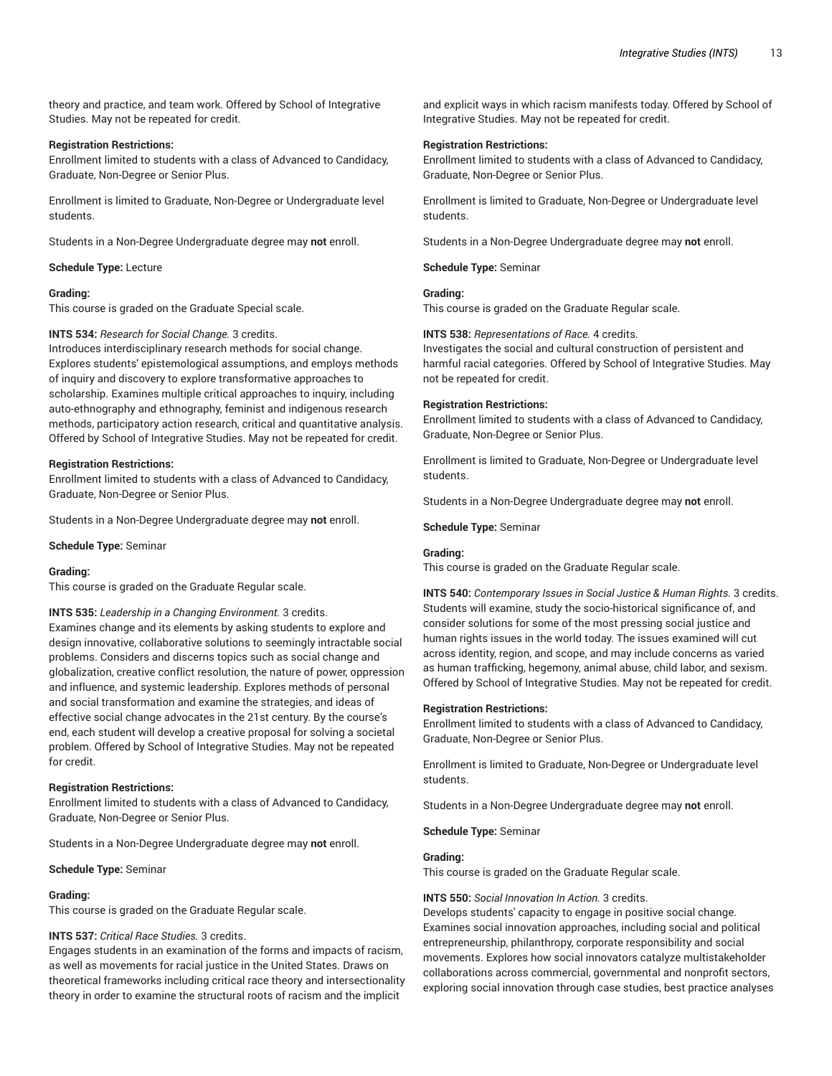theory and practice, and team work. Offered by School of Integrative Studies. May not be repeated for credit.

#### **Registration Restrictions:**

Enrollment limited to students with a class of Advanced to Candidacy, Graduate, Non-Degree or Senior Plus.

Enrollment is limited to Graduate, Non-Degree or Undergraduate level students.

Students in a Non-Degree Undergraduate degree may **not** enroll.

**Schedule Type:** Lecture

#### **Grading:**

This course is graded on the Graduate Special scale.

#### **INTS 534:** *Research for Social Change.* 3 credits.

Introduces interdisciplinary research methods for social change. Explores students' epistemological assumptions, and employs methods of inquiry and discovery to explore transformative approaches to scholarship. Examines multiple critical approaches to inquiry, including auto-ethnography and ethnography, feminist and indigenous research methods, participatory action research, critical and quantitative analysis. Offered by School of Integrative Studies. May not be repeated for credit.

#### **Registration Restrictions:**

Enrollment limited to students with a class of Advanced to Candidacy, Graduate, Non-Degree or Senior Plus.

Students in a Non-Degree Undergraduate degree may **not** enroll.

**Schedule Type:** Seminar

#### **Grading:**

This course is graded on the Graduate Regular scale.

**INTS 535:** *Leadership in a Changing Environment.* 3 credits.

Examines change and its elements by asking students to explore and design innovative, collaborative solutions to seemingly intractable social problems. Considers and discerns topics such as social change and globalization, creative conflict resolution, the nature of power, oppression and influence, and systemic leadership. Explores methods of personal and social transformation and examine the strategies, and ideas of effective social change advocates in the 21st century. By the course's end, each student will develop a creative proposal for solving a societal problem. Offered by School of Integrative Studies. May not be repeated for credit.

#### **Registration Restrictions:**

Enrollment limited to students with a class of Advanced to Candidacy, Graduate, Non-Degree or Senior Plus.

Students in a Non-Degree Undergraduate degree may **not** enroll.

**Schedule Type:** Seminar

#### **Grading:**

This course is graded on the Graduate Regular scale.

## **INTS 537:** *Critical Race Studies.* 3 credits.

Engages students in an examination of the forms and impacts of racism, as well as movements for racial justice in the United States. Draws on theoretical frameworks including critical race theory and intersectionality theory in order to examine the structural roots of racism and the implicit

and explicit ways in which racism manifests today. Offered by School of Integrative Studies. May not be repeated for credit.

#### **Registration Restrictions:**

Enrollment limited to students with a class of Advanced to Candidacy, Graduate, Non-Degree or Senior Plus.

Enrollment is limited to Graduate, Non-Degree or Undergraduate level students.

Students in a Non-Degree Undergraduate degree may **not** enroll.

**Schedule Type:** Seminar

## **Grading:**

This course is graded on the Graduate Regular scale.

## **INTS 538:** *Representations of Race.* 4 credits.

Investigates the social and cultural construction of persistent and harmful racial categories. Offered by School of Integrative Studies. May not be repeated for credit.

#### **Registration Restrictions:**

Enrollment limited to students with a class of Advanced to Candidacy, Graduate, Non-Degree or Senior Plus.

Enrollment is limited to Graduate, Non-Degree or Undergraduate level students.

Students in a Non-Degree Undergraduate degree may **not** enroll.

**Schedule Type:** Seminar

## **Grading:**

This course is graded on the Graduate Regular scale.

**INTS 540:** *Contemporary Issues in Social Justice & Human Rights.* 3 credits. Students will examine, study the socio-historical significance of, and consider solutions for some of the most pressing social justice and human rights issues in the world today. The issues examined will cut across identity, region, and scope, and may include concerns as varied as human trafficking, hegemony, animal abuse, child labor, and sexism. Offered by School of Integrative Studies. May not be repeated for credit.

#### **Registration Restrictions:**

Enrollment limited to students with a class of Advanced to Candidacy, Graduate, Non-Degree or Senior Plus.

Enrollment is limited to Graduate, Non-Degree or Undergraduate level students.

Students in a Non-Degree Undergraduate degree may **not** enroll.

#### **Schedule Type:** Seminar

## **Grading:**

This course is graded on the Graduate Regular scale.

### **INTS 550:** *Social Innovation In Action.* 3 credits.

Develops students' capacity to engage in positive social change. Examines social innovation approaches, including social and political entrepreneurship, philanthropy, corporate responsibility and social movements. Explores how social innovators catalyze multistakeholder collaborations across commercial, governmental and nonprofit sectors, exploring social innovation through case studies, best practice analyses